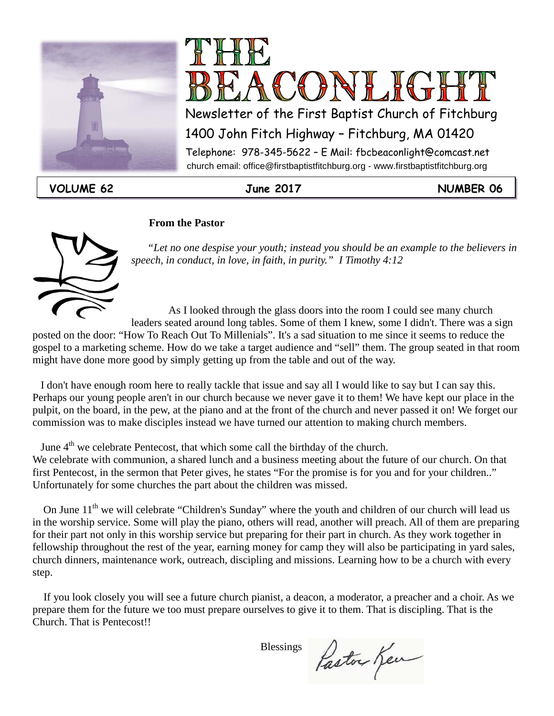



1400 John Fitch Highway – Fitchburg, MA 01420

 church email: office@firstbaptistfitchburg.org - www.firstbaptistfitchburg.org Telephone: 978-345-5622 – E Mail: fbcbeaconlight@comcast.net

**VOLUME 62 June 2017 NUMBER 06**

#### **From the Pastor**



 *"Let no one despise your youth; instead you should be an example to the believers in speech, in conduct, in love, in faith, in purity." I Timothy 4:12*

As I looked through the glass doors into the room I could see many church

leaders seated around long tables. Some of them I knew, some I didn't. There was a sign posted on the door: "How To Reach Out To Millenials". It's a sad situation to me since it seems to reduce the gospel to a marketing scheme. How do we take a target audience and "sell" them. The group seated in that room might have done more good by simply getting up from the table and out of the way.

 I don't have enough room here to really tackle that issue and say all I would like to say but I can say this. Perhaps our young people aren't in our church because we never gave it to them! We have kept our place in the pulpit, on the board, in the pew, at the piano and at the front of the church and never passed it on! We forget our commission was to make disciples instead we have turned our attention to making church members.

June 4<sup>th</sup> we celebrate Pentecost, that which some call the birthday of the church.

We celebrate with communion, a shared lunch and a business meeting about the future of our church. On that first Pentecost, in the sermon that Peter gives, he states "For the promise is for you and for your children.." Unfortunately for some churches the part about the children was missed.

On June 11<sup>th</sup> we will celebrate "Children's Sunday" where the youth and children of our church will lead us in the worship service. Some will play the piano, others will read, another will preach. All of them are preparing for their part not only in this worship service but preparing for their part in church. As they work together in fellowship throughout the rest of the year, earning money for camp they will also be participating in yard sales, church dinners, maintenance work, outreach, discipling and missions. Learning how to be a church with every step.

 If you look closely you will see a future church pianist, a deacon, a moderator, a preacher and a choir. As we prepare them for the future we too must prepare ourselves to give it to them. That is discipling. That is the Church. That is Pentecost!!

Blessings

Paston Ken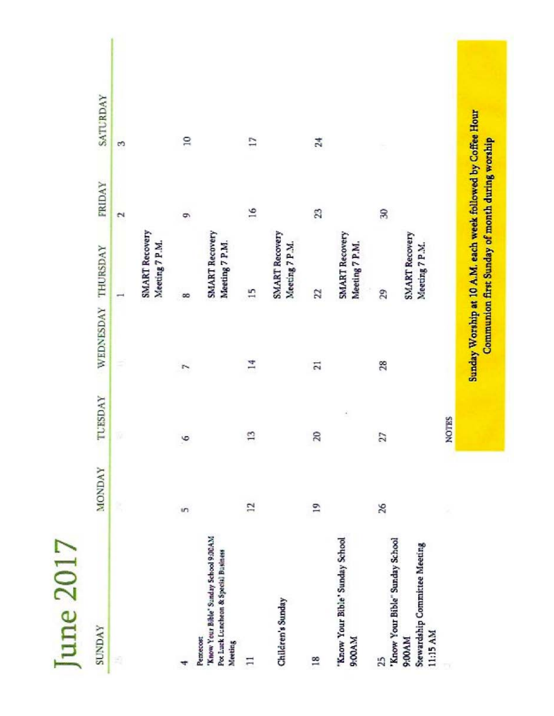| <b>SUNDAY</b>                                                                                          | <b>MONDAY</b> | TUESDAY         | WEDNESDAY THURSDAY                                          |                                                | <b>FRIDAY</b>            | SATURDAY        |  |
|--------------------------------------------------------------------------------------------------------|---------------|-----------------|-------------------------------------------------------------|------------------------------------------------|--------------------------|-----------------|--|
| Ŕ                                                                                                      | Ŕ,            |                 |                                                             | $\overline{\phantom{a}}$                       | $\overline{\mathcal{C}}$ | s               |  |
|                                                                                                        |               |                 |                                                             | SMART Recovery<br>Meeting 7 P.M.               |                          |                 |  |
|                                                                                                        | in            | $\circ$         | r.                                                          | œ                                              | é                        | $\overline{a}$  |  |
| 'Know Your Bible' Sanday School 9:00AM<br>Pot Luck Luncheon & Special Business<br>Perrecost<br>Meeting |               |                 |                                                             | SMART Recovery<br>Meeting 7 P.M.               |                          |                 |  |
| Ξ                                                                                                      | 12            | $\mathbf{r}$    | E,                                                          | 15                                             | $\frac{6}{2}$            | $\mathbb{Z}$    |  |
| Children's Sunday                                                                                      |               |                 |                                                             | SMART Recovery<br>Meeting 7 P.M.               |                          |                 |  |
| $\frac{8}{16}$                                                                                         | $\mathbf{r}$  | $\approx$       | $\overline{21}$                                             | 22                                             | R                        | $\overline{24}$ |  |
| 'Know Your Bible' Sunday School<br>9:00AM                                                              |               |                 |                                                             | SMART Recovery<br>Meeting 7 P.M.               |                          |                 |  |
| 'Know Your Bible" Sunday School<br>25                                                                  | $\frac{5}{2}$ | $\overline{27}$ | 28                                                          | 29                                             | R                        |                 |  |
| Stewardship Committee Meeting<br>11:15 AM<br>9:00AM                                                    |               |                 |                                                             | SMART Recovery<br>Meeting 7 P.M.               |                          |                 |  |
|                                                                                                        |               | <b>NOTES</b>    |                                                             |                                                |                          |                 |  |
|                                                                                                        |               |                 | Sunday Worship at 10 A.M. each week followed by Coffee Hour | Communion first Sunday of month during worship |                          |                 |  |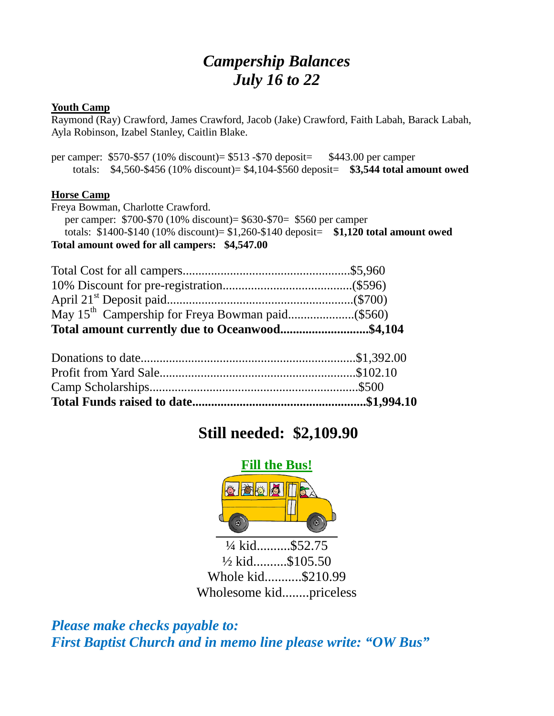# *Campership Balances July 16 to 22*

#### **Youth Camp**

Raymond (Ray) Crawford, James Crawford, Jacob (Jake) Crawford, Faith Labah, Barack Labah, Ayla Robinson, Izabel Stanley, Caitlin Blake.

per camper: \$570-\$57 (10% discount)= \$513 -\$70 deposit= \$443.00 per camper totals: \$4,560-\$456 (10% discount)= \$4,104-\$560 deposit= **\$3,544 total amount owed**

#### **Horse Camp**

Freya Bowman, Charlotte Crawford. per camper: \$700-\$70 (10% discount)= \$630-\$70= \$560 per camper totals: \$1400-\$140 (10% discount)= \$1,260-\$140 deposit= **\$1,120 total amount owed Total amount owed for all campers: \$4,547.00**

| Total amount currently due to Oceanwood\$4,104 |  |
|------------------------------------------------|--|
|                                                |  |
|                                                |  |
|                                                |  |
|                                                |  |

## **Still needed: \$2,109.90**



¼ kid..........\$52.75 ½ kid..........\$105.50 Whole kid...........\$210.99 Wholesome kid........priceless

*Please make checks payable to: First Baptist Church and in memo line please write: "OW Bus"*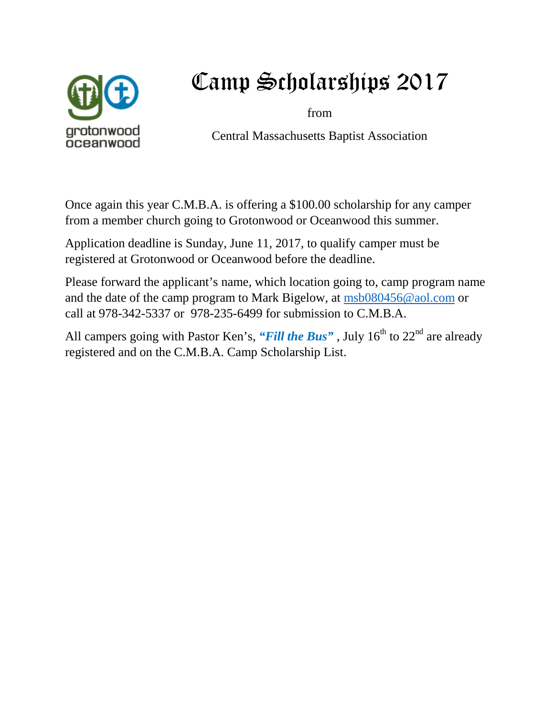

# Camp Scholarships 2017

from

Central Massachusetts Baptist Association

Once again this year C.M.B.A. is offering a \$100.00 scholarship for any camper from a member church going to Grotonwood or Oceanwood this summer.

Application deadline is Sunday, June 11, 2017, to qualify camper must be registered at Grotonwood or Oceanwood before the deadline.

Please forward the applicant's name, which location going to, camp program name and the date of the camp program to Mark Bigelow, at [msb080456@aol.com](mailto:msb080456@aol.com) or call at 978-342-5337 or 978-235-6499 for submission to C.M.B.A.

All campers going with Pastor Ken's, "*Fill the Bus*", July 16<sup>th</sup> to 22<sup>nd</sup> are already registered and on the C.M.B.A. Camp Scholarship List.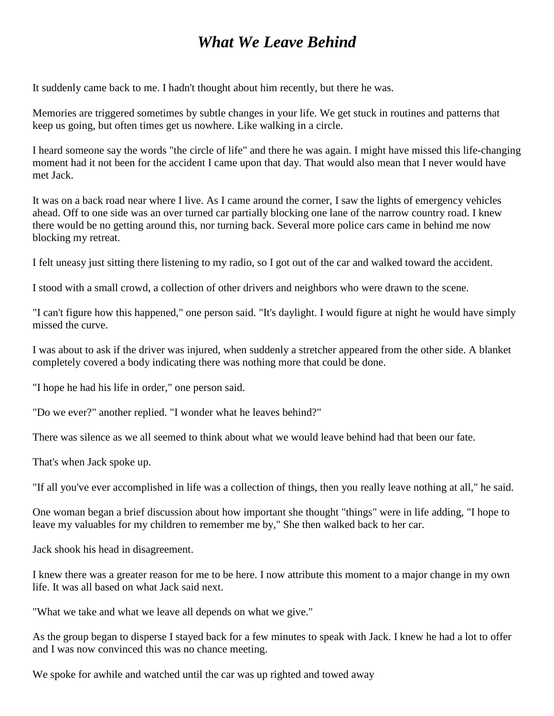### *What We Leave Behind*

It suddenly came back to me. I hadn't thought about him recently, but there he was.

Memories are triggered sometimes by subtle changes in your life. We get stuck in routines and patterns that keep us going, but often times get us nowhere. Like walking in a circle.

I heard someone say the words "the circle of life" and there he was again. I might have missed this life-changing moment had it not been for the accident I came upon that day. That would also mean that I never would have met Jack.

It was on a back road near where I live. As I came around the corner, I saw the lights of emergency vehicles ahead. Off to one side was an over turned car partially blocking one lane of the narrow country road. I knew there would be no getting around this, nor turning back. Several more police cars came in behind me now blocking my retreat.

I felt uneasy just sitting there listening to my radio, so I got out of the car and walked toward the accident.

I stood with a small crowd, a collection of other drivers and neighbors who were drawn to the scene.

"I can't figure how this happened," one person said. "It's daylight. I would figure at night he would have simply missed the curve.

I was about to ask if the driver was injured, when suddenly a stretcher appeared from the other side. A blanket completely covered a body indicating there was nothing more that could be done.

"I hope he had his life in order," one person said.

"Do we ever?" another replied. "I wonder what he leaves behind?"

There was silence as we all seemed to think about what we would leave behind had that been our fate.

That's when Jack spoke up.

"If all you've ever accomplished in life was a collection of things, then you really leave nothing at all," he said.

One woman began a brief discussion about how important she thought "things" were in life adding, "I hope to leave my valuables for my children to remember me by," She then walked back to her car.

Jack shook his head in disagreement.

I knew there was a greater reason for me to be here. I now attribute this moment to a major change in my own life. It was all based on what Jack said next.

"What we take and what we leave all depends on what we give."

As the group began to disperse I stayed back for a few minutes to speak with Jack. I knew he had a lot to offer and I was now convinced this was no chance meeting.

We spoke for awhile and watched until the car was up righted and towed away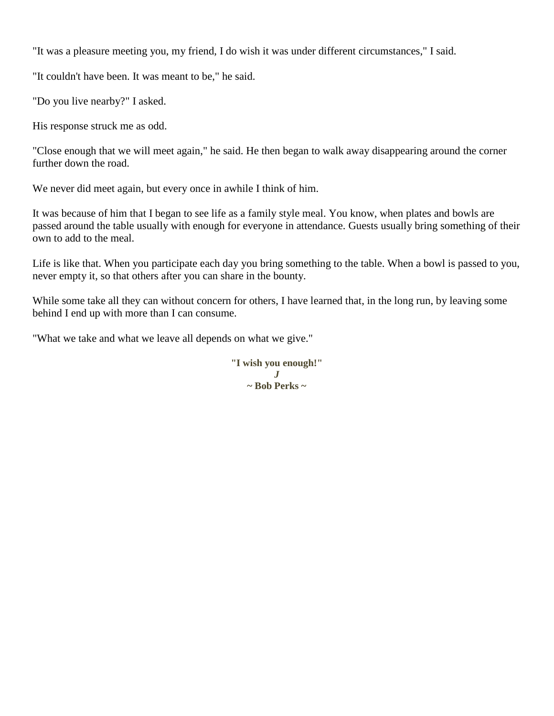"It was a pleasure meeting you, my friend, I do wish it was under different circumstances," I said.

"It couldn't have been. It was meant to be," he said.

"Do you live nearby?" I asked.

His response struck me as odd.

"Close enough that we will meet again," he said. He then began to walk away disappearing around the corner further down the road.

We never did meet again, but every once in awhile I think of him.

It was because of him that I began to see life as a family style meal. You know, when plates and bowls are passed around the table usually with enough for everyone in attendance. Guests usually bring something of their own to add to the meal.

Life is like that. When you participate each day you bring something to the table. When a bowl is passed to you, never empty it, so that others after you can share in the bounty.

While some take all they can without concern for others, I have learned that, in the long run, by leaving some behind I end up with more than I can consume.

"What we take and what we leave all depends on what we give."

**"I wish you enough!"** *J* **~ Bob Perks ~**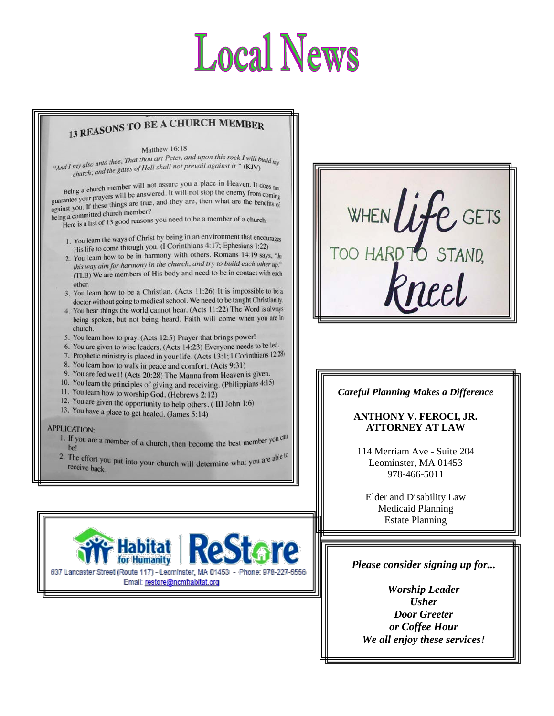# **Local News**

# 13 REASONS TO BE A CHURCH MEMBER

#### Matthew 16:18

Matthew 10.16<br>
"And I say also unto thee, That thou art Peter, and upon this rock I will build my<br>
"And I say also unto the gates of Hell shall not prevail against it." (KJV) say also unto thee, That thou art Peter, and upon this rock I will be<br>church; and the gates of Hell shall not prevail against it." (KJV)

Being a church member will not assure you a place in Heaven. It does not<br>Being a church member will be answered. It will not stop the enemy from coming Being a church member will not assure you a place in reavent, it does  $_{\text{no}}$  a place in the chemical state of  $_{\text{non-long}}$  guarantee your prayers will be answered. It will not stop the enemy from coming guarantee your pra guarantee your prayers will be answered. It will not stop the chemy from coming<br>against you. If these things are true, and they are, then what are the benefits of<br>against you. If these things are true, and they are, then w being a committed church member?<br>being a committed church member?

ly a committed church member :<br>Here is a list of 13 good reasons you need to be a member of a church:

- 1. You learn the ways of Christ by being in an environment that encourages<br>
His life to come through you. (1 Corinthians 4:17; Ephesians 1:22)<br>
2. You learn how to be in harmony with others. Romans 14:19 says,  $\frac{n}{\ln n}$ You learn the ways of Christ by bung<br>His life to come through you. (I Corinthians 4:17; Ephesians 1:22)
- this way aim for harmony in the church, and try to build each other up."<br>(TLB) We are members of His body and need to be in contact with each other.
- 3. You learn how to be a Christian. (Acts 11:26) It is impossible to be a doctor without going to medical school. We need to be taught Christianity.
- 4. You hear things the world cannot hear. (Acts 11:22) The Word is always being spoken, but not being heard. Faith will come when you are in church.
- 5. You learn how to pray. (Acts 12:5) Prayer that brings power!
- 6. You are given to wise leaders. (Acts 14:23) Everyone needs to be led.
- 7. Prophetic ministry is placed in your life. (Acts 13:1; I Corinthians 12:28)
- 8. You learn how to walk in peace and comfort. (Acts 9:31)
- 9. You are fed well! (Acts 20:28) The Manna from Heaven is given.
- 10. You learn the principles of giving and receiving. (Philippians 4:15)
- 11. You learn how to worship God. (Hebrews 2:12)
- 12. You are given the opportunity to help others. (III John 1:6)
- 13. You have a place to get healed. (James 5:14)

#### **APPLICATION:**

- 1. If you are a member of a church, then become the best member you can be!
- 2. The effort you put into your church will determine what you are able to receive both receive back.





#### *Careful Planning Makes a Difference*

#### **ANTHONY V. FEROCI, JR. ATTORNEY AT LAW**

114 Merriam Ave - Suite 204 Leominster, MA 01453 978-466-5011

Elder and Disability Law Medicaid Planning Estate Planning

i

#### *Please consider signing up for...*

*Worship Leader Usher Door Greeter or Coffee Hour We all enjoy these services!*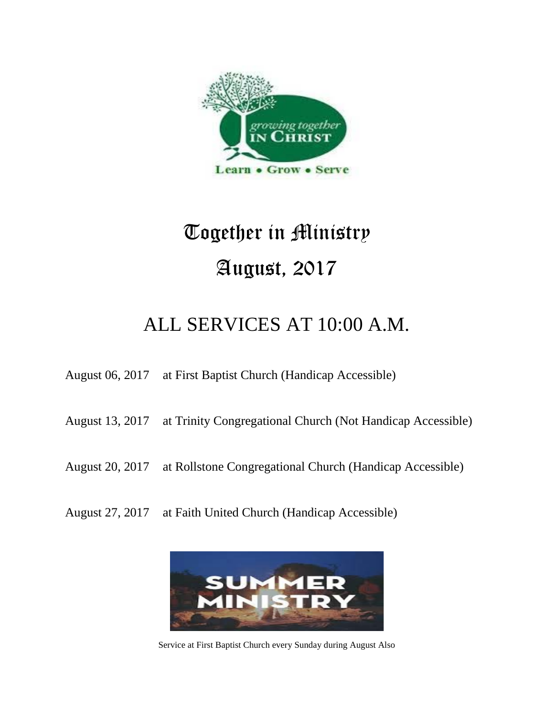

# Together in Ministry August, 2017

# ALL SERVICES AT 10:00 A.M.

August 06, 2017 at First Baptist Church (Handicap Accessible)

- August 13, 2017 at Trinity Congregational Church (Not Handicap Accessible)
- August 20, 2017 at Rollstone Congregational Church (Handicap Accessible)
- August 27, 2017 at Faith United Church (Handicap Accessible)



Service at First Baptist Church every Sunday during August Also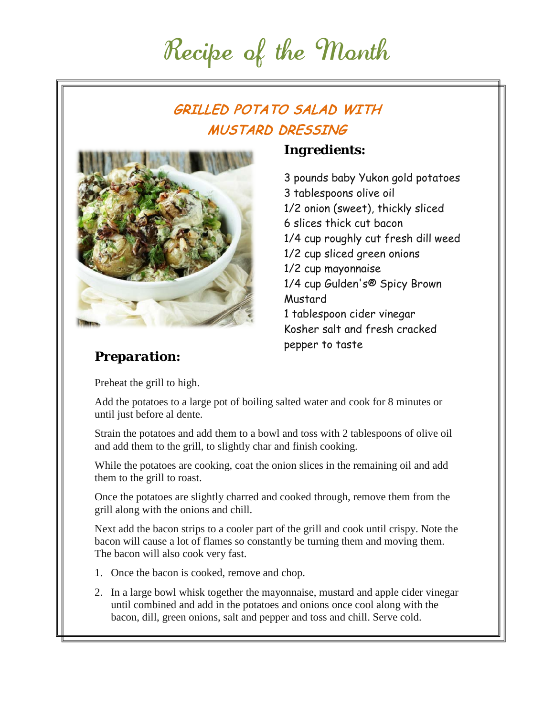# Recipe of the Month

# GRILLED POTATO SALAD WITH MUSTARD DRESSING



### *Ingredients:*

3 pounds baby Yukon gold potatoes 3 tablespoons olive oil 1/2 onion (sweet), thickly sliced 6 slices thick cut bacon 1/4 cup roughly cut fresh dill weed 1/2 cup sliced green onions 1/2 cup mayonnaise 1/4 cup Gulden's® Spicy Brown Mustard 1 tablespoon cider vinegar Kosher salt and fresh cracked pepper to taste

### *Preparation:*

Preheat the grill to high.

Add the potatoes to a large pot of boiling salted water and cook for 8 minutes or until just before al dente.

Strain the potatoes and add them to a bowl and toss with 2 tablespoons of olive oil and add them to the grill, to slightly char and finish cooking.

While the potatoes are cooking, coat the onion slices in the remaining oil and add them to the grill to roast.

Once the potatoes are slightly charred and cooked through, remove them from the grill along with the onions and chill.

Next add the bacon strips to a cooler part of the grill and cook until crispy. Note the bacon will cause a lot of flames so constantly be turning them and moving them. The bacon will also cook very fast.

- 1. Once the bacon is cooked, remove and chop.
- 2. In a large bowl whisk together the mayonnaise, mustard and apple cider vinegar until combined and add in the potatoes and onions once cool along with the bacon, dill, green onions, salt and pepper and toss and chill. Serve cold.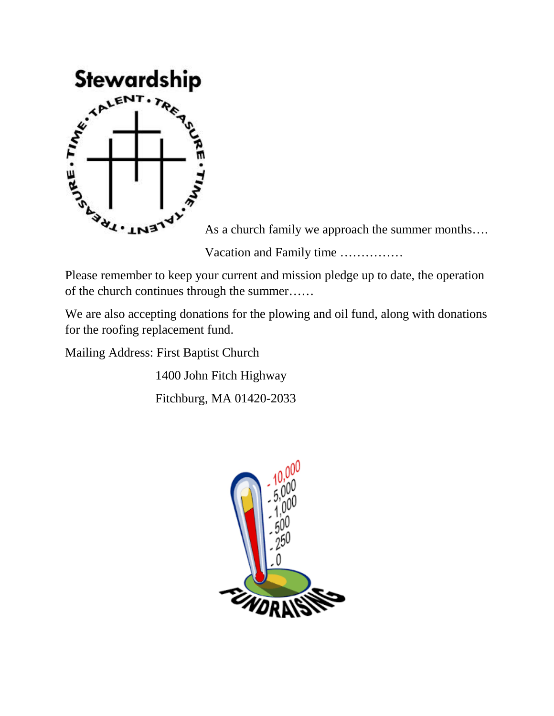

As a church family we approach the summer months….

Vacation and Family time ……………

Please remember to keep your current and mission pledge up to date, the operation of the church continues through the summer……

We are also accepting donations for the plowing and oil fund, along with donations for the roofing replacement fund.

Mailing Address: First Baptist Church

1400 John Fitch Highway

Fitchburg, MA 01420-2033

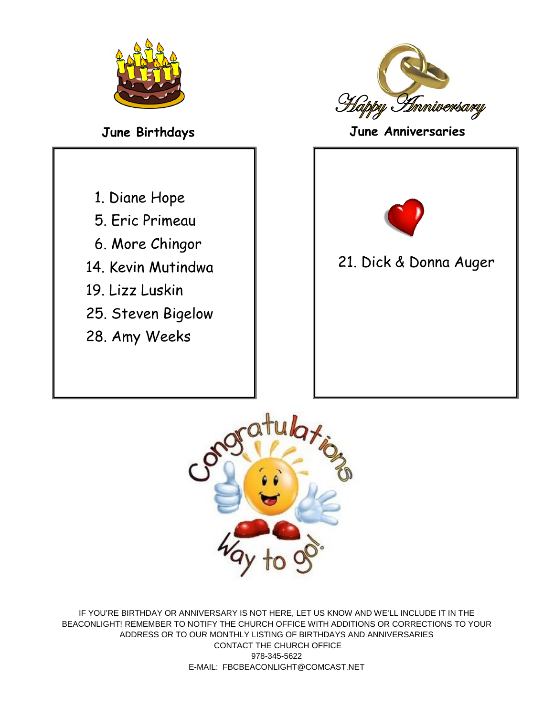



**June Birthdays June Anniversaries**

- 1. Diane Hope
- 5. Eric Primeau
- 6. More Chingor
- 14. Kevin Mutindwa
- 19. Lizz Luskin
- 25. Steven Bigelow
- 28. Amy Weeks



## 21. Dick & Donna Auger



IF YOU'RE BIRTHDAY OR ANNIVERSARY IS NOT HERE, LET US KNOW AND WE'LL INCLUDE IT IN THE BEACONLIGHT! REMEMBER TO NOTIFY THE CHURCH OFFICE WITH ADDITIONS OR CORRECTIONS TO YOUR ADDRESS OR TO OUR MONTHLY LISTING OF BIRTHDAYS AND ANNIVERSARIES CONTACT THE CHURCH OFFICE 978-345-5622 E-MAIL: FBCBEACONLIGHT@COMCAST.NET